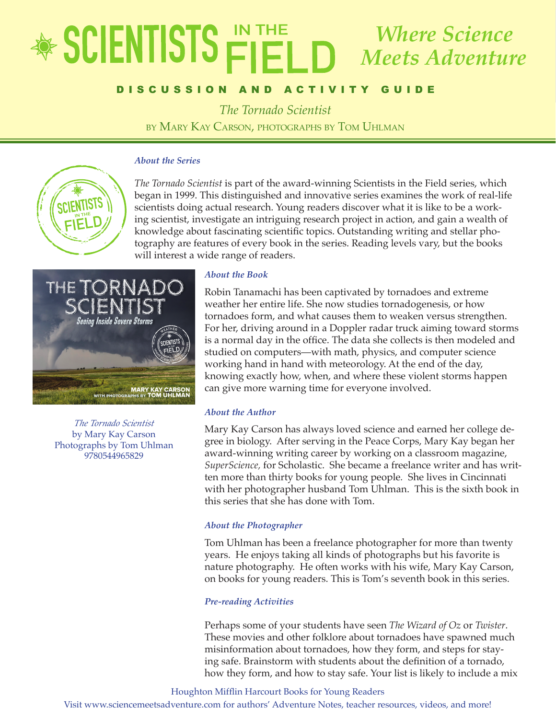## EDUCATOR'S GUIDE *The Tornado Scientist* by Mary Kay Carson, Photographs by Tom Uhlman *Where Science Meets Adventure*

### DISCUSSION AND ACTIVITY GUIDE

*The Tornado Scientist*

by Mary Kay Carson, photographs by Tom Uhlman

### *About the Series*



*The Tornado Scientist* is part of the award-winning Scientists in the Field series, which began in 1999. This distinguished and innovative series examines the work of real-life scientists doing actual research. Young readers discover what it is like to be a working scientist, investigate an intriguing research project in action, and gain a wealth of knowledge about fascinating scientific topics. Outstanding writing and stellar photography are features of every book in the series. Reading levels vary, but the books will interest a wide range of readers.



*The Tornado Scientist* by Mary Kay Carson Photographs by Tom Uhlman 9780544965829

### *About the Book*

Robin Tanamachi has been captivated by tornadoes and extreme weather her entire life. She now studies tornadogenesis, or how tornadoes form, and what causes them to weaken versus strengthen. For her, driving around in a Doppler radar truck aiming toward storms is a normal day in the office. The data she collects is then modeled and studied on computers—with math, physics, and computer science working hand in hand with meteorology. At the end of the day, knowing exactly how, when, and where these violent storms happen can give more warning time for everyone involved.

### *About the Author*

Mary Kay Carson has always loved science and earned her college degree in biology. After serving in the Peace Corps, Mary Kay began her award-winning writing career by working on a classroom magazine, *SuperScience,* for Scholastic. She became a freelance writer and has written more than thirty books for young people*.* She lives in Cincinnati with her photographer husband Tom Uhlman. This is the sixth book in this series that she has done with Tom.

### *About the Photographer*

Tom Uhlman has been a freelance photographer for more than twenty years. He enjoys taking all kinds of photographs but his favorite is nature photography. He often works with his wife, Mary Kay Carson, on books for young readers. This is Tom's seventh book in this series.

### *Pre-reading Activities*

Perhaps some of your students have seen *The Wizard of Oz* or *Twister*. These movies and other folklore about tornadoes have spawned much misinformation about tornadoes, how they form, and steps for staying safe. Brainstorm with students about the definition of a tornado, how they form, and how to stay safe. Your list is likely to include a mix

Houghton Mifflin Harcourt Books for Young Readers

Visit www.sciencemeetsadventure.com for authors' Adventure Notes, teacher resources, videos, and more!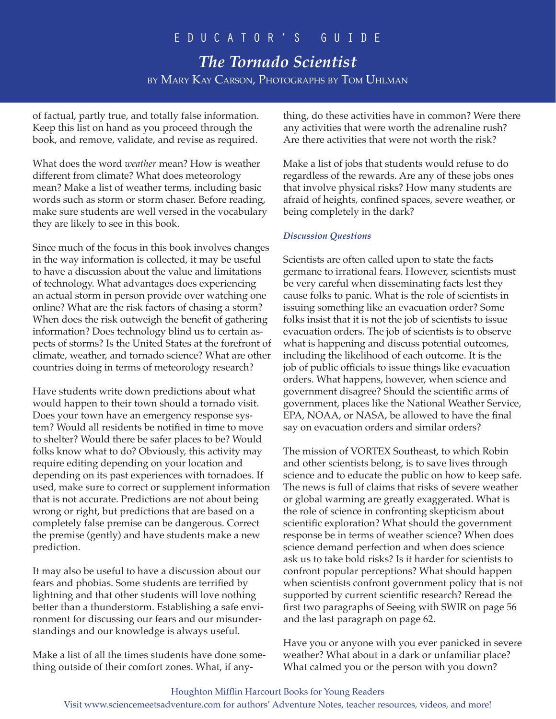*The Tornado Scientist* by Mary Kay Carson, Photographs by Tom Uhlman

of factual, partly true, and totally false information. Keep this list on hand as you proceed through the book, and remove, validate, and revise as required.

What does the word *weather* mean? How is weather different from climate? What does meteorology mean? Make a list of weather terms, including basic words such as storm or storm chaser. Before reading, make sure students are well versed in the vocabulary they are likely to see in this book.

Since much of the focus in this book involves changes in the way information is collected, it may be useful to have a discussion about the value and limitations of technology. What advantages does experiencing an actual storm in person provide over watching one online? What are the risk factors of chasing a storm? When does the risk outweigh the benefit of gathering information? Does technology blind us to certain aspects of storms? Is the United States at the forefront of climate, weather, and tornado science? What are other countries doing in terms of meteorology research?

Have students write down predictions about what would happen to their town should a tornado visit. Does your town have an emergency response system? Would all residents be notified in time to move to shelter? Would there be safer places to be? Would folks know what to do? Obviously, this activity may require editing depending on your location and depending on its past experiences with tornadoes. If used, make sure to correct or supplement information that is not accurate. Predictions are not about being wrong or right, but predictions that are based on a completely false premise can be dangerous. Correct the premise (gently) and have students make a new prediction.

It may also be useful to have a discussion about our fears and phobias. Some students are terrified by lightning and that other students will love nothing better than a thunderstorm. Establishing a safe environment for discussing our fears and our misunderstandings and our knowledge is always useful.

Make a list of all the times students have done something outside of their comfort zones. What, if anything, do these activities have in common? Were there any activities that were worth the adrenaline rush? Are there activities that were not worth the risk?

Make a list of jobs that students would refuse to do regardless of the rewards. Are any of these jobs ones that involve physical risks? How many students are afraid of heights, confined spaces, severe weather, or being completely in the dark?

### *Discussion Questions*

Scientists are often called upon to state the facts germane to irrational fears. However, scientists must be very careful when disseminating facts lest they cause folks to panic. What is the role of scientists in issuing something like an evacuation order? Some folks insist that it is not the job of scientists to issue evacuation orders. The job of scientists is to observe what is happening and discuss potential outcomes, including the likelihood of each outcome. It is the job of public officials to issue things like evacuation orders. What happens, however, when science and government disagree? Should the scientific arms of government, places like the National Weather Service, EPA, NOAA, or NASA, be allowed to have the final say on evacuation orders and similar orders?

The mission of VORTEX Southeast, to which Robin and other scientists belong, is to save lives through science and to educate the public on how to keep safe. The news is full of claims that risks of severe weather or global warming are greatly exaggerated. What is the role of science in confronting skepticism about scientific exploration? What should the government response be in terms of weather science? When does science demand perfection and when does science ask us to take bold risks? Is it harder for scientists to confront popular perceptions? What should happen when scientists confront government policy that is not supported by current scientific research? Reread the first two paragraphs of Seeing with SWIR on page 56 and the last paragraph on page 62.

Have you or anyone with you ever panicked in severe weather? What about in a dark or unfamiliar place? What calmed you or the person with you down?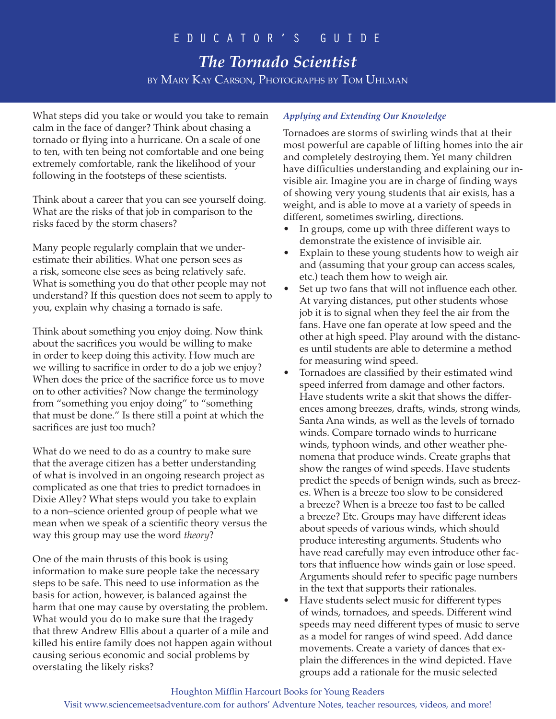# *The Tornado Scientist* by Mary Kay Carson, Photographs by Tom Uhlman

What steps did you take or would you take to remain calm in the face of danger? Think about chasing a tornado or flying into a hurricane. On a scale of one to ten, with ten being not comfortable and one being extremely comfortable, rank the likelihood of your following in the footsteps of these scientists.

Think about a career that you can see yourself doing. What are the risks of that job in comparison to the risks faced by the storm chasers?

Many people regularly complain that we underestimate their abilities. What one person sees as a risk, someone else sees as being relatively safe. What is something you do that other people may not understand? If this question does not seem to apply to you, explain why chasing a tornado is safe.

Think about something you enjoy doing. Now think about the sacrifices you would be willing to make in order to keep doing this activity. How much are we willing to sacrifice in order to do a job we enjoy? When does the price of the sacrifice force us to move on to other activities? Now change the terminology from "something you enjoy doing" to "something that must be done." Is there still a point at which the sacrifices are just too much?

What do we need to do as a country to make sure that the average citizen has a better understanding of what is involved in an ongoing research project as complicated as one that tries to predict tornadoes in Dixie Alley? What steps would you take to explain to a non–science oriented group of people what we mean when we speak of a scientific theory versus the way this group may use the word *theory*?

One of the main thrusts of this book is using information to make sure people take the necessary steps to be safe. This need to use information as the basis for action, however, is balanced against the harm that one may cause by overstating the problem. What would you do to make sure that the tragedy that threw Andrew Ellis about a quarter of a mile and killed his entire family does not happen again without causing serious economic and social problems by overstating the likely risks?

### *Applying and Extending Our Knowledge*

Tornadoes are storms of swirling winds that at their most powerful are capable of lifting homes into the air and completely destroying them. Yet many children have difficulties understanding and explaining our invisible air. Imagine you are in charge of finding ways of showing very young students that air exists, has a weight, and is able to move at a variety of speeds in different, sometimes swirling, directions.

- In groups, come up with three different ways to demonstrate the existence of invisible air.
- Explain to these young students how to weigh air and (assuming that your group can access scales, etc.) teach them how to weigh air.
- Set up two fans that will not influence each other. At varying distances, put other students whose job it is to signal when they feel the air from the fans. Have one fan operate at low speed and the other at high speed. Play around with the distances until students are able to determine a method for measuring wind speed.
- Tornadoes are classified by their estimated wind speed inferred from damage and other factors. Have students write a skit that shows the differences among breezes, drafts, winds, strong winds, Santa Ana winds, as well as the levels of tornado winds. Compare tornado winds to hurricane winds, typhoon winds, and other weather phenomena that produce winds. Create graphs that show the ranges of wind speeds. Have students predict the speeds of benign winds, such as breezes. When is a breeze too slow to be considered a breeze? When is a breeze too fast to be called a breeze? Etc. Groups may have different ideas about speeds of various winds, which should produce interesting arguments. Students who have read carefully may even introduce other factors that influence how winds gain or lose speed. Arguments should refer to specific page numbers in the text that supports their rationales.
- Have students select music for different types of winds, tornadoes, and speeds. Different wind speeds may need different types of music to serve as a model for ranges of wind speed. Add dance movements. Create a variety of dances that explain the differences in the wind depicted. Have groups add a rationale for the music selected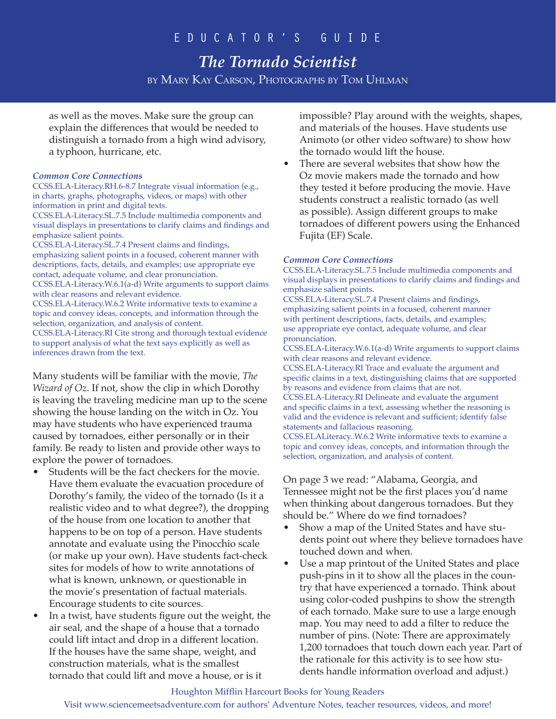# *The Tornado Scientist*

by Mary Kay Carson, Photographs by Tom Uhlman

as well as the moves. Make sure the group can explain the differences that would be needed to distinguish a tornado from a high wind advisory, a typhoon, hurricane, etc.

### *Common Core Connections*

CCSS.ELA-Literacy.RH.6-8.7 Integrate visual information (e.g., in charts, graphs, photographs, videos, or maps) with other information in print and digital texts.

CCSS.ELA-Literacy.SL.7.5 Include multimedia components and visual displays in presentations to clarify claims and findings and emphasize salient points.

CCSS.ELA-Literacy.SL.7.4 Present claims and findings, emphasizing salient points in a focused, coherent manner with descriptions, facts, details, and examples; use appropriate eye contact, adequate volume, and clear pronunciation.

CCSS.ELA-Literacy.W.6.1(a-d) Write arguments to support claims with clear reasons and relevant evidence.

CCSS.ELA-Literacy.W.6.2 Write informative texts to examine a topic and convey ideas, concepts, and information through the selection, organization, and analysis of content.

CCSS.ELA-Literacy.RI Cite strong and thorough textual evidence to support analysis of what the text says explicitly as well as inferences drawn from the text.

Many students will be familiar with the movie, *The Wizard of Oz*. If not, show the clip in which Dorothy is leaving the traveling medicine man up to the scene showing the house landing on the witch in Oz. You may have students who have experienced trauma caused by tornadoes, either personally or in their family. Be ready to listen and provide other ways to explore the power of tornadoes.

- Students will be the fact checkers for the movie. Have them evaluate the evacuation procedure of Dorothy's family, the video of the tornado (Is it a realistic video and to what degree?), the dropping of the house from one location to another that happens to be on top of a person. Have students annotate and evaluate using the Pinocchio scale (or make up your own). Have students fact-check sites for models of how to write annotations of what is known, unknown, or questionable in the movie's presentation of factual materials. Encourage students to cite sources.
- In a twist, have students figure out the weight, the air seal, and the shape of a house that a tornado could lift intact and drop in a different location. If the houses have the same shape, weight, and construction materials, what is the smallest tornado that could lift and move a house, or is it

impossible? Play around with the weights, shapes, and materials of the houses. Have students use Animoto (or other video software) to show how the tornado would lift the house.

There are several websites that show how the Oz movie makers made the tornado and how they tested it before producing the movie. Have students construct a realistic tornado (as well as possible). Assign different groups to make tornadoes of different powers using the Enhanced Fujita (EF) Scale.

### *Common Core Connections*

CCSS.ELA-Literacy.SL.7.5 Include multimedia components and visual displays in presentations to clarify claims and findings and emphasize salient points.

CCSS.ELA-Literacy.SL.7.4 Present claims and findings, emphasizing salient points in a focused, coherent manner with pertinent descriptions, facts, details, and examples; use appropriate eye contact, adequate volume, and clear pronunciation.

CCSS.ELA-Literacy.W.6.1(a-d) Write arguments to support claims with clear reasons and relevant evidence.

CCSS.ELA-Literacy.RI Trace and evaluate the argument and specific claims in a text, distinguishing claims that are supported by reasons and evidence from claims that are not. CCSS.ELA-Literacy.RI Delineate and evaluate the argument and specific claims in a text, assessing whether the reasoning is valid and the evidence is relevant and sufficient; identify false statements and fallacious reasoning.

CCSS.ELALiteracy..W.6.2 Write informative texts to examine a topic and convey ideas, concepts, and information through the selection, organization, and analysis of content.

On page 3 we read: "Alabama, Georgia, and Tennessee might not be the first places you'd name when thinking about dangerous tornadoes. But they should be." Where do we find tornadoes?

- Show a map of the United States and have students point out where they believe tornadoes have touched down and when.
- Use a map printout of the United States and place push-pins in it to show all the places in the country that have experienced a tornado. Think about using color-coded pushpins to show the strength of each tornado. Make sure to use a large enough map. You may need to add a filter to reduce the number of pins. (Note: There are approximately 1,200 tornadoes that touch down each year. Part of the rationale for this activity is to see how students handle information overload and adjust.)

### Houghton Mifflin Harcourt Books for Young Readers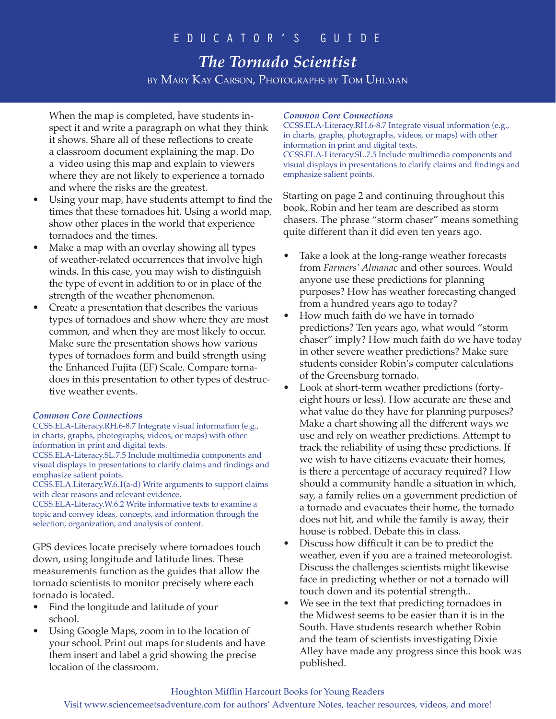# *The Tornado Scientist*

by Mary Kay Carson, Photographs by Tom Uhlman

When the map is completed, have students inspect it and write a paragraph on what they think it shows. Share all of these reflections to create a classroom document explaining the map. Do a video using this map and explain to viewers where they are not likely to experience a tornado and where the risks are the greatest.

- Using your map, have students attempt to find the times that these tornadoes hit. Using a world map, show other places in the world that experience tornadoes and the times.
- Make a map with an overlay showing all types of weather-related occurrences that involve high winds. In this case, you may wish to distinguish the type of event in addition to or in place of the strength of the weather phenomenon.
- Create a presentation that describes the various types of tornadoes and show where they are most common, and when they are most likely to occur. Make sure the presentation shows how various types of tornadoes form and build strength using the Enhanced Fujita (EF) Scale. Compare tornadoes in this presentation to other types of destructive weather events.

### *Common Core Connections*

CCSS.ELA-Literacy.RH.6-8.7 Integrate visual information (e.g., in charts, graphs, photographs, videos, or maps) with other information in print and digital texts.

CCSS.ELA-Literacy.SL.7.5 Include multimedia components and visual displays in presentations to clarify claims and findings and emphasize salient points.

CCSS.ELA.Literacy.W.6.1(a-d) Write arguments to support claims with clear reasons and relevant evidence.

CCSS.ELA-Literacy.W.6.2 Write informative texts to examine a topic and convey ideas, concepts, and information through the selection, organization, and analysis of content.

GPS devices locate precisely where tornadoes touch down, using longitude and latitude lines. These measurements function as the guides that allow the tornado scientists to monitor precisely where each tornado is located.

- Find the longitude and latitude of your school.
- Using Google Maps, zoom in to the location of your school. Print out maps for students and have them insert and label a grid showing the precise location of the classroom.

### *Common Core Connections*

CCSS.ELA-Literacy.RH.6-8.7 Integrate visual information (e.g., in charts, graphs, photographs, videos, or maps) with other information in print and digital texts. CCSS.ELA-Literacy.SL.7.5 Include multimedia components and visual displays in presentations to clarify claims and findings and emphasize salient points.

Starting on page 2 and continuing throughout this book, Robin and her team are described as storm chasers. The phrase "storm chaser" means something quite different than it did even ten years ago.

- Take a look at the long-range weather forecasts from *Farmers' Almanac* and other sources. Would anyone use these predictions for planning purposes? How has weather forecasting changed from a hundred years ago to today?
- How much faith do we have in tornado predictions? Ten years ago, what would "storm chaser" imply? How much faith do we have today in other severe weather predictions? Make sure students consider Robin's computer calculations of the Greensburg tornado.
- Look at short-term weather predictions (fortyeight hours or less). How accurate are these and what value do they have for planning purposes? Make a chart showing all the different ways we use and rely on weather predictions. Attempt to track the reliability of using these predictions. If we wish to have citizens evacuate their homes, is there a percentage of accuracy required? How should a community handle a situation in which, say, a family relies on a government prediction of a tornado and evacuates their home, the tornado does not hit, and while the family is away, their house is robbed. Debate this in class.
- Discuss how difficult it can be to predict the weather, even if you are a trained meteorologist. Discuss the challenges scientists might likewise face in predicting whether or not a tornado will touch down and its potential strength..
- We see in the text that predicting tornadoes in the Midwest seems to be easier than it is in the South. Have students research whether Robin and the team of scientists investigating Dixie Alley have made any progress since this book was published.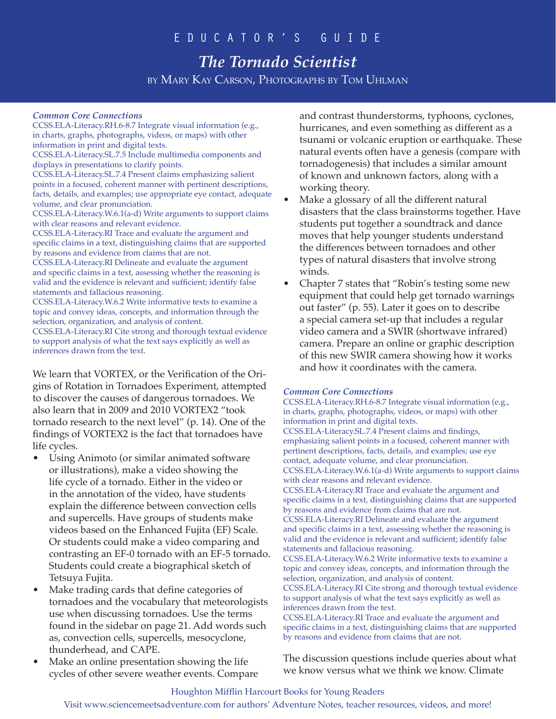# *The Tornado Scientist*

by Mary Kay Carson, Photographs by Tom Uhlman

### *Common Core Connections*

CCSS.ELA-Literacy.RH.6-8.7 Integrate visual information (e.g., in charts, graphs, photographs, videos, or maps) with other information in print and digital texts.

CCSS.ELA-Literacy.SL.7.5 Include multimedia components and displays in presentations to clarify points.

CCSS.ELA-Literacy.SL.7.4 Present claims emphasizing salient points in a focused, coherent manner with pertinent descriptions, facts, details, and examples; use appropriate eye contact, adequate volume, and clear pronunciation.

CCSS.ELA-Literacy.W.6.1(a-d) Write arguments to support claims with clear reasons and relevant evidence.

CCSS.ELA-Literacy.RI Trace and evaluate the argument and specific claims in a text, distinguishing claims that are supported by reasons and evidence from claims that are not.

CCSS.ELA-Literacy.RI Delineate and evaluate the argument and specific claims in a text, assessing whether the reasoning is valid and the evidence is relevant and sufficient; identify false statements and fallacious reasoning.

CCSS.ELA-Literacy.W.6.2 Write informative texts to examine a topic and convey ideas, concepts, and information through the selection, organization, and analysis of content.

CCSS.ELA-Literacy.RI Cite strong and thorough textual evidence to support analysis of what the text says explicitly as well as inferences drawn from the text.

We learn that VORTEX, or the Verification of the Origins of Rotation in Tornadoes Experiment, attempted to discover the causes of dangerous tornadoes. We also learn that in 2009 and 2010 VORTEX2 "took tornado research to the next level" (p. 14). One of the findings of VORTEX2 is the fact that tornadoes have life cycles.

- Using Animoto (or similar animated software or illustrations), make a video showing the life cycle of a tornado. Either in the video or in the annotation of the video, have students explain the difference between convection cells and supercells. Have groups of students make videos based on the Enhanced Fujita (EF) Scale. Or students could make a video comparing and contrasting an EF-0 tornado with an EF-5 tornado. Students could create a biographical sketch of Tetsuya Fujita.
- Make trading cards that define categories of tornadoes and the vocabulary that meteorologists use when discussing tornadoes. Use the terms found in the sidebar on page 21. Add words such as, convection cells, supercells, mesocyclone, thunderhead, and CAPE.
- Make an online presentation showing the life cycles of other severe weather events. Compare

and contrast thunderstorms, typhoons, cyclones, hurricanes, and even something as different as a tsunami or volcanic eruption or earthquake. These natural events often have a genesis (compare with tornadogenesis) that includes a similar amount of known and unknown factors, along with a working theory.

- Make a glossary of all the different natural disasters that the class brainstorms together. Have students put together a soundtrack and dance moves that help younger students understand the differences between tornadoes and other types of natural disasters that involve strong winds.
- Chapter 7 states that "Robin's testing some new equipment that could help get tornado warnings out faster" (p. 55). Later it goes on to describe a special camera set-up that includes a regular video camera and a SWIR (shortwave infrared) camera. Prepare an online or graphic description of this new SWIR camera showing how it works and how it coordinates with the camera.

### *Common Core Connections*

CCSS.ELA-Literacy.RH.6-8.7 Integrate visual information (e.g., in charts, graphs, photographs, videos, or maps) with other information in print and digital texts.

CCSS.ELA-Literacy.SL.7.4 Present claims and findings, emphasizing salient points in a focused, coherent manner with pertinent descriptions, facts, details, and examples; use eye contact, adequate volume, and clear pronunciation. CCSS.ELA-Literacy.W.6.1(a-d) Write arguments to support claims with clear reasons and relevant evidence.

CCSS.ELA-Literacy.RI Trace and evaluate the argument and specific claims in a text, distinguishing claims that are supported by reasons and evidence from claims that are not.

CCSS.ELA-Literacy.RI Delineate and evaluate the argument and specific claims in a text, assessing whether the reasoning is valid and the evidence is relevant and sufficient; identify false statements and fallacious reasoning.

CCSS.ELA-Literacy.W.6.2 Write informative texts to examine a topic and convey ideas, concepts, and information through the selection, organization, and analysis of content.

CCSS.ELA-Literacy.RI Cite strong and thorough textual evidence to support analysis of what the text says explicitly as well as inferences drawn from the text.

CCSS.ELA-Literacy.RI Trace and evaluate the argument and specific claims in a text, distinguishing claims that are supported by reasons and evidence from claims that are not.

The discussion questions include queries about what we know versus what we think we know. Climate

#### Houghton Mifflin Harcourt Books for Young Readers

Visit www.sciencemeetsadventure.com for authors' Adventure Notes, teacher resources, videos, and more!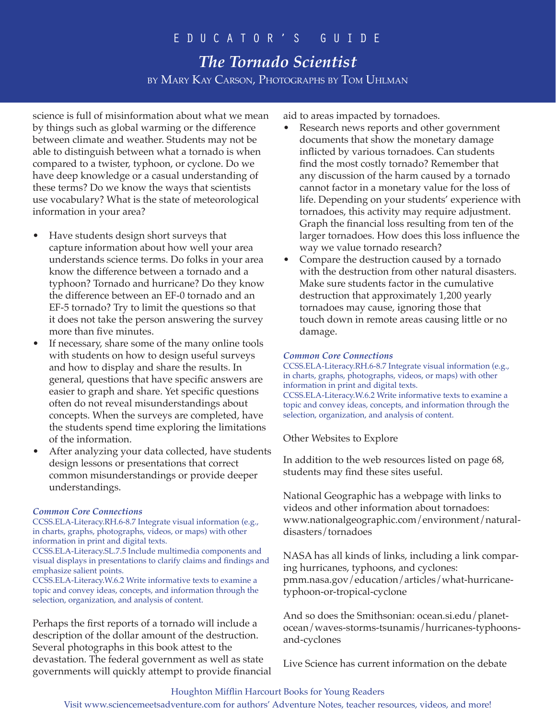# *The Tornado Scientist* by Mary Kay Carson, Photographs by Tom Uhlman

science is full of misinformation about what we mean by things such as global warming or the difference between climate and weather. Students may not be able to distinguish between what a tornado is when compared to a twister, typhoon, or cyclone. Do we have deep knowledge or a casual understanding of these terms? Do we know the ways that scientists use vocabulary? What is the state of meteorological information in your area?

- Have students design short surveys that capture information about how well your area understands science terms. Do folks in your area know the difference between a tornado and a typhoon? Tornado and hurricane? Do they know the difference between an EF-0 tornado and an EF-5 tornado? Try to limit the questions so that it does not take the person answering the survey more than five minutes.
- If necessary, share some of the many online tools with students on how to design useful surveys and how to display and share the results. In general, questions that have specific answers are easier to graph and share. Yet specific questions often do not reveal misunderstandings about concepts. When the surveys are completed, have the students spend time exploring the limitations of the information.
- After analyzing your data collected, have students design lessons or presentations that correct common misunderstandings or provide deeper understandings.

### *Common Core Connections*

CCSS.ELA-Literacy.RH.6-8.7 Integrate visual information (e.g., in charts, graphs, photographs, videos, or maps) with other information in print and digital texts. CCSS.ELA-Literacy.SL.7.5 Include multimedia components and visual displays in presentations to clarify claims and findings and emphasize salient points. CCSS.ELA-Literacy.W.6.2 Write informative texts to examine a topic and convey ideas, concepts, and information through the selection, organization, and analysis of content.

Perhaps the first reports of a tornado will include a description of the dollar amount of the destruction. Several photographs in this book attest to the devastation. The federal government as well as state governments will quickly attempt to provide financial aid to areas impacted by tornadoes.

- Research news reports and other government documents that show the monetary damage inflicted by various tornadoes. Can students find the most costly tornado? Remember that any discussion of the harm caused by a tornado cannot factor in a monetary value for the loss of life. Depending on your students' experience with tornadoes, this activity may require adjustment. Graph the financial loss resulting from ten of the larger tornadoes. How does this loss influence the way we value tornado research?
- Compare the destruction caused by a tornado with the destruction from other natural disasters. Make sure students factor in the cumulative destruction that approximately 1,200 yearly tornadoes may cause, ignoring those that touch down in remote areas causing little or no damage.

### *Common Core Connections*

CCSS.ELA-Literacy.RH.6-8.7 Integrate visual information (e.g., in charts, graphs, photographs, videos, or maps) with other information in print and digital texts. CCSS.ELA-Literacy.W.6.2 Write informative texts to examine a topic and convey ideas, concepts, and information through the selection, organization, and analysis of content.

Other Websites to Explore

In addition to the web resources listed on page 68, students may find these sites useful.

National Geographic has a webpage with links to videos and other information about tornadoes: www.nationalgeographic.com/environment/naturaldisasters/tornadoes

NASA has all kinds of links, including a link comparing hurricanes, typhoons, and cyclones: pmm.nasa.gov/education/articles/what-hurricanetyphoon-or-tropical-cyclone

And so does the Smithsonian: ocean.si.edu/planetocean/waves-storms-tsunamis/hurricanes-typhoonsand-cyclones

Live Science has current information on the debate

### Houghton Mifflin Harcourt Books for Young Readers

Visit www.sciencemeetsadventure.com for authors' Adventure Notes, teacher resources, videos, and more!